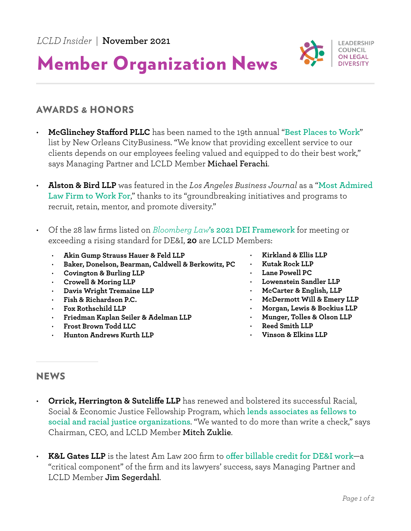

## Member Organization News

## AWARDS & HONORS

- **McGlinchey Stafford PLLC** has been named to the 19th annual "**[Best Places to Work](https://www.prweb.com/releases/mcglinchey_named_among_new_orleans_best_places_to_work/prweb18232091.htm?utm_source=pocket_mylist)**" list by New Orleans CityBusiness. "We know that providing excellent service to our clients depends on our employees feeling valued and equipped to do their best work," says Managing Partner and LCLD Member **Michael Ferachi**.
- **Alston & Bird LLP** was featured in the *Los Angeles Business Journal* as a "**[Most Admired](https://labusinessjournal.com/news/2021/sep/27/most-admired-law-firms-alston-bird/)  [Law Firm to Work For](https://labusinessjournal.com/news/2021/sep/27/most-admired-law-firms-alston-bird/)**," thanks to its "groundbreaking initiatives and programs to recruit, retain, mentor, and promote diversity."
- Of the 28 law firms listed on *Bloomberg Law***['s 2021 DEI Framework](https://pro.bloomberglaw.com/diversity-equity-and-inclusion-framework-for-law-firms/)** for meeting or exceeding a rising standard for DE&I, **20** are LCLD Members:
	- **Akin Gump Strauss Hauer & Feld LLP** • **Baker, Donelson, Bearman, Caldwell & Berkowitz, PC** • **Covington & Burling LLP**
		- **Crowell & Moring LLP**
		- **Davis Wright Tremaine LLP**
		- **Fish & Richardson P.C.**
		- **Fox Rothschild LLP**
		- **Friedman Kaplan Seiler & Adelman LLP**
	- **Frost Brown Todd LLC**
	- **Hunton Andrews Kurth LLP**
- **Kirkland & Ellis LLP**
- **Kutak Rock LLP**
- **Lane Powell PC**
- **Lowenstein Sandler LLP**
- **McCarter & English, LLP**
- **McDermott Will & Emery LLP**
- **Morgan, Lewis & Bockius LLP**
- **Munger, Tolles & Olson LLP**
- **Reed Smith LLP**
- **Vinson & Elkins LLP**

## **NEWS**

- **Orrick, Herrington & Sutcliffe LLP** has renewed and bolstered its successful Racial, Social & Economic Justice Fellowship Program, which **[lends associates as fellows to](https://www.law.com/americanlawyer/2021/10/22/senior-associates-are-a-hot-commodity-orrick-is-lending-out-6-of-them-for-the-next-3-years/)  [social and racial justice organizations](https://www.law.com/americanlawyer/2021/10/22/senior-associates-are-a-hot-commodity-orrick-is-lending-out-6-of-them-for-the-next-3-years/)**. "We wanted to do more than write a check," says Chairman, CEO, and LCLD Member **Mitch Zuklie**.
- **K&L Gates LLP** is the latest Am Law 200 firm to **[offer billable credit for DE&I work](https://www.law.com/2021/10/18/kl-gates-adds-diversity-credit-to-billable-hours-policy-405-92931/)**—a "critical component" of the firm and its lawyers' success, says Managing Partner and LCLD Member **Jim Segerdahl**.